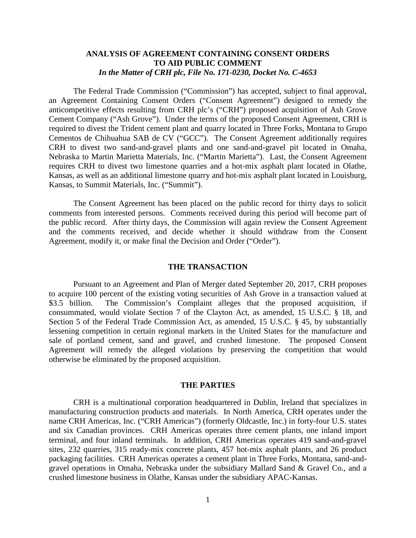# **ANALYSIS OF AGREEMENT CONTAINING CONSENT ORDERS TO AID PUBLIC COMMENT** *In the Matter of CRH plc, File No. 171-0230, Docket No. C-4653*

The Federal Trade Commission ("Commission") has accepted, subject to final approval, an Agreement Containing Consent Orders ("Consent Agreement") designed to remedy the anticompetitive effects resulting from CRH plc's ("CRH") proposed acquisition of Ash Grove Cement Company ("Ash Grove"). Under the terms of the proposed Consent Agreement, CRH is required to divest the Trident cement plant and quarry located in Three Forks, Montana to Grupo Cementos de Chihuahua SAB de CV ("GCC"). The Consent Agreement additionally requires CRH to divest two sand-and-gravel plants and one sand-and-gravel pit located in Omaha, Nebraska to Martin Marietta Materials, Inc. ("Martin Marietta"). Last, the Consent Agreement requires CRH to divest two limestone quarries and a hot-mix asphalt plant located in Olathe, Kansas, as well as an additional limestone quarry and hot-mix asphalt plant located in Louisburg, Kansas, to Summit Materials, Inc. ("Summit").

The Consent Agreement has been placed on the public record for thirty days to solicit comments from interested persons. Comments received during this period will become part of the public record. After thirty days, the Commission will again review the Consent Agreement and the comments received, and decide whether it should withdraw from the Consent Agreement, modify it, or make final the Decision and Order ("Order").

#### **THE TRANSACTION**

Pursuant to an Agreement and Plan of Merger dated September 20, 2017, CRH proposes to acquire 100 percent of the existing voting securities of Ash Grove in a transaction valued at \$3.5 billion. The Commission's Complaint alleges that the proposed acquisition, if consummated, would violate Section 7 of the Clayton Act, as amended, 15 U.S.C. § 18, and Section 5 of the Federal Trade Commission Act, as amended, 15 U.S.C. § 45, by substantially lessening competition in certain regional markets in the United States for the manufacture and sale of portland cement, sand and gravel, and crushed limestone. The proposed Consent Agreement will remedy the alleged violations by preserving the competition that would otherwise be eliminated by the proposed acquisition.

## **THE PARTIES**

CRH is a multinational corporation headquartered in Dublin, Ireland that specializes in manufacturing construction products and materials. In North America, CRH operates under the name CRH Americas, Inc. ("CRH Americas") (formerly Oldcastle, Inc.) in forty-four U.S. states and six Canadian provinces. CRH Americas operates three cement plants, one inland import terminal, and four inland terminals. In addition, CRH Americas operates 419 sand-and-gravel sites, 232 quarries, 315 ready-mix concrete plants, 457 hot-mix asphalt plants, and 26 product packaging facilities. CRH Americas operates a cement plant in Three Forks, Montana, sand-andgravel operations in Omaha, Nebraska under the subsidiary Mallard Sand & Gravel Co., and a crushed limestone business in Olathe, Kansas under the subsidiary APAC-Kansas.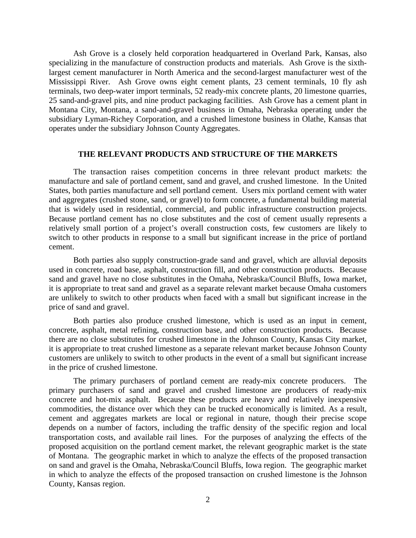Ash Grove is a closely held corporation headquartered in Overland Park, Kansas, also specializing in the manufacture of construction products and materials. Ash Grove is the sixthlargest cement manufacturer in North America and the second-largest manufacturer west of the Mississippi River. Ash Grove owns eight cement plants, 23 cement terminals, 10 fly ash terminals, two deep-water import terminals, 52 ready-mix concrete plants, 20 limestone quarries, 25 sand-and-gravel pits, and nine product packaging facilities. Ash Grove has a cement plant in Montana City, Montana, a sand-and-gravel business in Omaha, Nebraska operating under the subsidiary Lyman-Richey Corporation, and a crushed limestone business in Olathe, Kansas that operates under the subsidiary Johnson County Aggregates.

#### **THE RELEVANT PRODUCTS AND STRUCTURE OF THE MARKETS**

The transaction raises competition concerns in three relevant product markets: the manufacture and sale of portland cement, sand and gravel, and crushed limestone. In the United States, both parties manufacture and sell portland cement. Users mix portland cement with water and aggregates (crushed stone, sand, or gravel) to form concrete, a fundamental building material that is widely used in residential, commercial, and public infrastructure construction projects. Because portland cement has no close substitutes and the cost of cement usually represents a relatively small portion of a project's overall construction costs, few customers are likely to switch to other products in response to a small but significant increase in the price of portland cement.

Both parties also supply construction-grade sand and gravel, which are alluvial deposits used in concrete, road base, asphalt, construction fill, and other construction products. Because sand and gravel have no close substitutes in the Omaha, Nebraska/Council Bluffs, Iowa market, it is appropriate to treat sand and gravel as a separate relevant market because Omaha customers are unlikely to switch to other products when faced with a small but significant increase in the price of sand and gravel.

Both parties also produce crushed limestone, which is used as an input in cement, concrete, asphalt, metal refining, construction base, and other construction products. Because there are no close substitutes for crushed limestone in the Johnson County, Kansas City market, it is appropriate to treat crushed limestone as a separate relevant market because Johnson County customers are unlikely to switch to other products in the event of a small but significant increase in the price of crushed limestone.

The primary purchasers of portland cement are ready-mix concrete producers. The primary purchasers of sand and gravel and crushed limestone are producers of ready-mix concrete and hot-mix asphalt. Because these products are heavy and relatively inexpensive commodities, the distance over which they can be trucked economically is limited. As a result, cement and aggregates markets are local or regional in nature, though their precise scope depends on a number of factors, including the traffic density of the specific region and local transportation costs, and available rail lines. For the purposes of analyzing the effects of the proposed acquisition on the portland cement market, the relevant geographic market is the state of Montana. The geographic market in which to analyze the effects of the proposed transaction on sand and gravel is the Omaha, Nebraska/Council Bluffs, Iowa region. The geographic market in which to analyze the effects of the proposed transaction on crushed limestone is the Johnson County, Kansas region.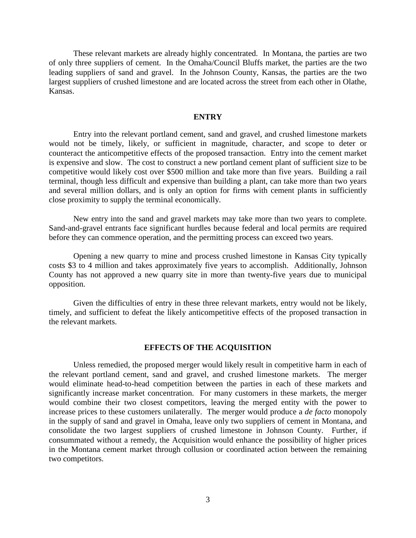These relevant markets are already highly concentrated. In Montana, the parties are two of only three suppliers of cement. In the Omaha/Council Bluffs market, the parties are the two leading suppliers of sand and gravel. In the Johnson County, Kansas, the parties are the two largest suppliers of crushed limestone and are located across the street from each other in Olathe, Kansas.

## **ENTRY**

Entry into the relevant portland cement, sand and gravel, and crushed limestone markets would not be timely, likely, or sufficient in magnitude, character, and scope to deter or counteract the anticompetitive effects of the proposed transaction. Entry into the cement market is expensive and slow. The cost to construct a new portland cement plant of sufficient size to be competitive would likely cost over \$500 million and take more than five years. Building a rail terminal, though less difficult and expensive than building a plant, can take more than two years and several million dollars, and is only an option for firms with cement plants in sufficiently close proximity to supply the terminal economically.

New entry into the sand and gravel markets may take more than two years to complete. Sand-and-gravel entrants face significant hurdles because federal and local permits are required before they can commence operation, and the permitting process can exceed two years.

Opening a new quarry to mine and process crushed limestone in Kansas City typically costs \$3 to 4 million and takes approximately five years to accomplish. Additionally, Johnson County has not approved a new quarry site in more than twenty-five years due to municipal opposition.

Given the difficulties of entry in these three relevant markets, entry would not be likely, timely, and sufficient to defeat the likely anticompetitive effects of the proposed transaction in the relevant markets.

## **EFFECTS OF THE ACQUISITION**

Unless remedied, the proposed merger would likely result in competitive harm in each of the relevant portland cement, sand and gravel, and crushed limestone markets. The merger would eliminate head-to-head competition between the parties in each of these markets and significantly increase market concentration. For many customers in these markets, the merger would combine their two closest competitors, leaving the merged entity with the power to increase prices to these customers unilaterally. The merger would produce a *de facto* monopoly in the supply of sand and gravel in Omaha, leave only two suppliers of cement in Montana, and consolidate the two largest suppliers of crushed limestone in Johnson County. Further, if consummated without a remedy, the Acquisition would enhance the possibility of higher prices in the Montana cement market through collusion or coordinated action between the remaining two competitors.